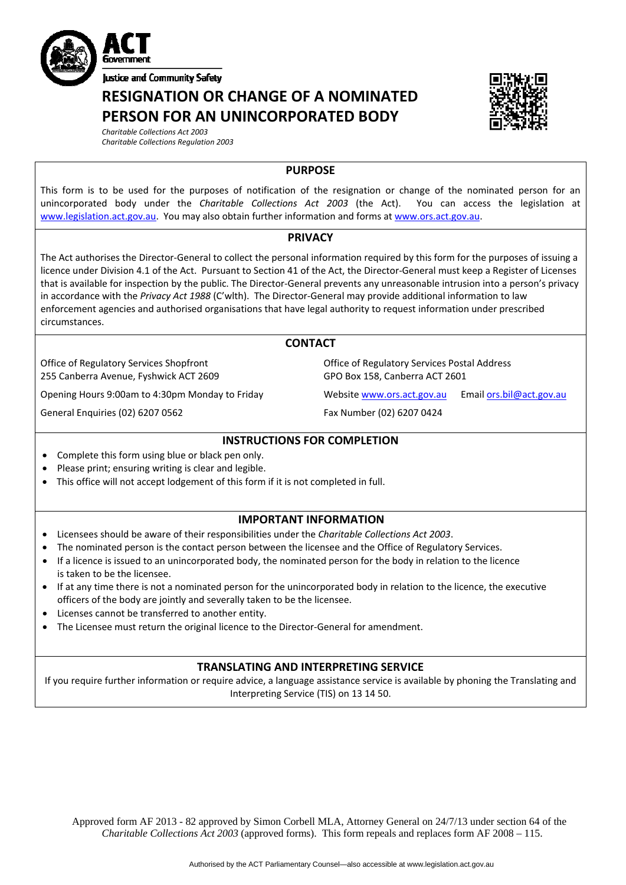

**RESIGNATION OR CHANGE OF A NOMINATED PERSON FOR AN UNINCORPORATED BODY**



*Charitable Collections Act 2003 Charitable Collections Regulation 2003*

### **PURPOSE**

This form is to be used for the purposes of notification of the resignation or change of the nominated person for an unincorporated body under the *Charitable Collections Act 2003* (the Act). You can access the legislation at [www.legislation.act.gov.au.](http://www.legislation.act.gov.au/) You may also obtain further information and forms at [www.ors.act.gov.au](http://www.ors.act.gov.au/).

### **PRIVACY**

The Act authorises the Director‐General to collect the personal information required by this form for the purposes of issuing a licence under Division 4.1 of the Act. Pursuant to Section 41 of the Act, the Director‐General must keep a Register of Licenses that is available for inspection by the public. The Director‐General prevents any unreasonable intrusion into a person's privacy in accordance with the *Privacy Act 1988* (C'wlth). The Director‐General may provide additional information to law enforcement agencies and authorised organisations that have legal authority to request information under prescribed circumstances.

## **CONTACT**

Office of Regulatory Services Shopfront 255 Canberra Avenue, Fyshwick ACT 2609

Opening Hours 9:00am to 4:30pm Monday to Friday Website [www.ors.act.gov.au](http://www.ors.act.gov.au/) Email [ors.bil@act.gov.au](mailto:ors.bil@act.gov.au)

General Enquiries (02) 6207 0562 Fax Number (02) 6207 0424

Office of Regulatory Services Postal Address GPO Box 158, Canberra ACT 2601

## **INSTRUCTIONS FOR COMPLETION**

- Complete this form using blue or black pen only.
- Please print; ensuring writing is clear and legible.
- This office will not accept lodgement of this form if it is not completed in full.

# **IMPORTANT INFORMATION**

- Licensees should be aware of their responsibilities under the *Charitable Collections Act 2003*.
- The nominated person is the contact person between the licensee and the Office of Regulatory Services.
- If a licence is issued to an unincorporated body, the nominated person for the body in relation to the licence is taken to be the licensee.
- If at any time there is not a nominated person for the unincorporated body in relation to the licence, the executive officers of the body are jointly and severally taken to be the licensee.
- Licenses cannot be transferred to another entity.
- The Licensee must return the original licence to the Director‐General for amendment.

# **TRANSLATING AND INTERPRETING SERVICE**

If you require further information or require advice, a language assistance service is available by phoning the Translating and Interpreting Service (TIS) on 13 14 50.

Approved form AF 2013 - 82 approved by Simon Corbell MLA, Attorney General on 24/7/13 under section 64 of the *Charitable Collections Act 2003* (approved forms). This form repeals and replaces form AF 2008 – 115.